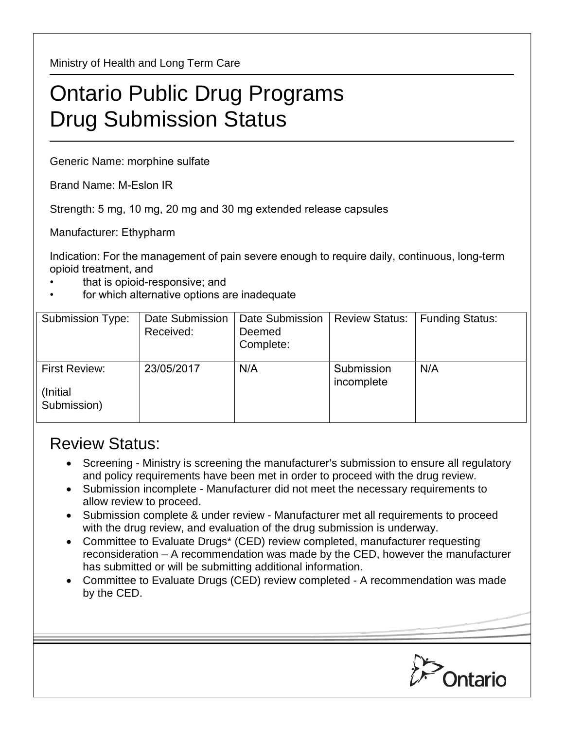Ministry of Health and Long Term Care

## Ontario Public Drug Programs Drug Submission Status

Generic Name: morphine sulfate

Brand Name: M-Eslon IR

Strength: 5 mg, 10 mg, 20 mg and 30 mg extended release capsules

Manufacturer: Ethypharm

Indication: For the management of pain severe enough to require daily, continuous, long-term opioid treatment, and

- that is opioid-responsive; and
- for which alternative options are inadequate

| <b>Submission Type:</b>                          | Date Submission<br>Received: | Date Submission<br>Deemed<br>Complete: | <b>Review Status:</b>    | <b>Funding Status:</b> |
|--------------------------------------------------|------------------------------|----------------------------------------|--------------------------|------------------------|
| <b>First Review:</b><br>(Initial)<br>Submission) | 23/05/2017                   | N/A                                    | Submission<br>incomplete | N/A                    |

## Review Status:

- Screening Ministry is screening the manufacturer's submission to ensure all regulatory and policy requirements have been met in order to proceed with the drug review.
- Submission incomplete Manufacturer did not meet the necessary requirements to allow review to proceed.
- Submission complete & under review Manufacturer met all requirements to proceed with the drug review, and evaluation of the drug submission is underway.
- Committee to Evaluate Drugs\* (CED) review completed, manufacturer requesting reconsideration – A recommendation was made by the CED, however the manufacturer has submitted or will be submitting additional information.
- Committee to Evaluate Drugs (CED) review completed A recommendation was made by the CED.